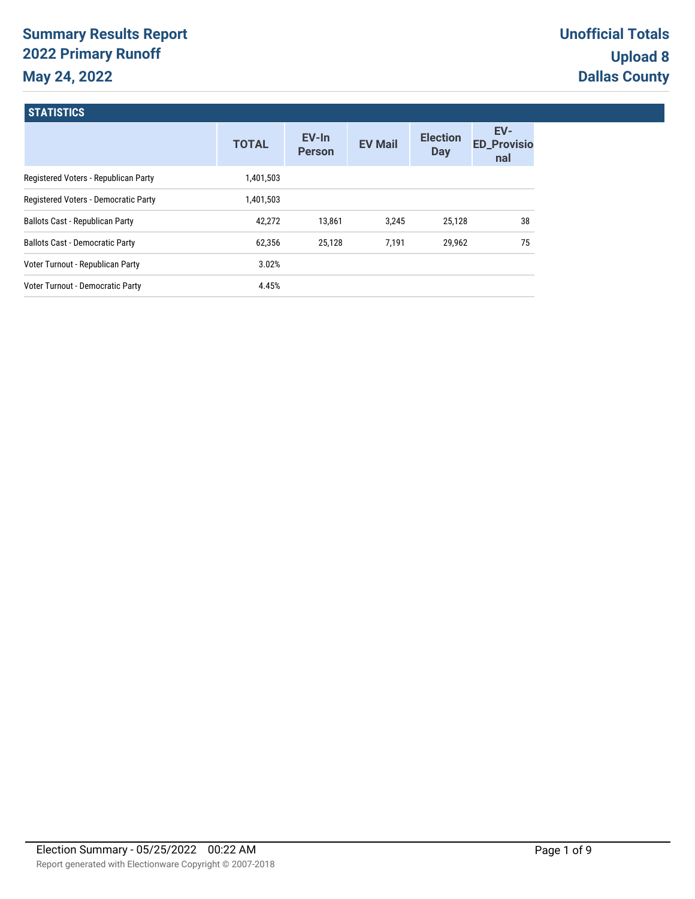# **Summary Results Report 2022 Primary Runoff May 24, 2022**

| <b>TOTAL</b> | EV-In<br><b>Person</b> | <b>EV Mail</b> | <b>Election</b><br><b>Day</b> | EV-<br><b>ED_Provisio</b><br>nal |
|--------------|------------------------|----------------|-------------------------------|----------------------------------|
| 1,401,503    |                        |                |                               |                                  |
| 1,401,503    |                        |                |                               |                                  |
| 42,272       | 13,861                 | 3,245          | 25,128                        | 38                               |
| 62,356       | 25,128                 | 7,191          | 29,962                        | 75                               |
| 3.02%        |                        |                |                               |                                  |
| 4.45%        |                        |                |                               |                                  |
|              |                        |                |                               |                                  |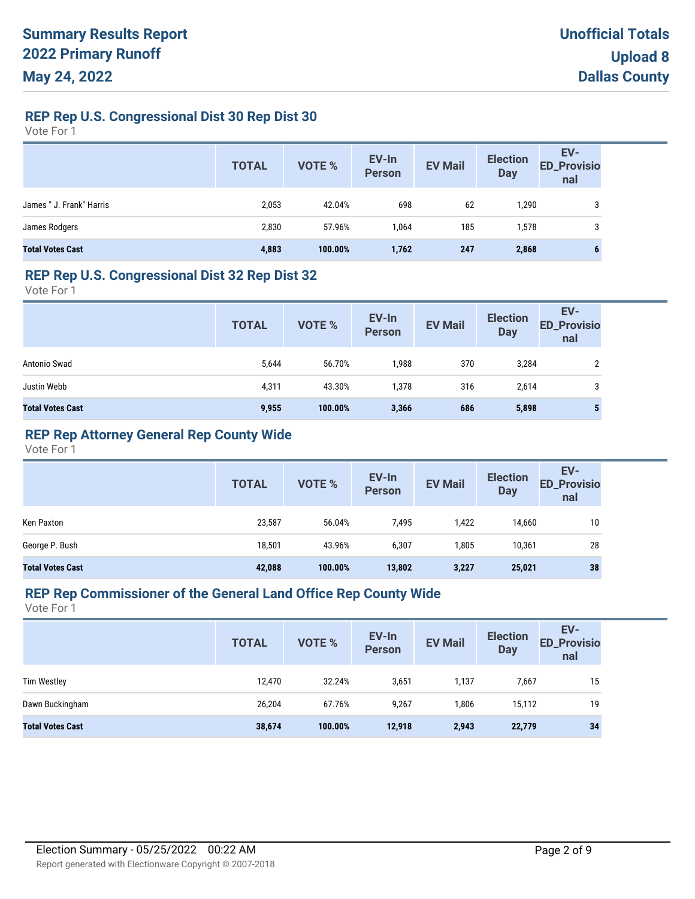## **REP Rep U.S. Congressional Dist 30 Rep Dist 30**

Vote For 1

|                          | <b>TOTAL</b> | VOTE %  | EV-In<br>Person | <b>EV Mail</b> | <b>Election</b><br>Day | EV-<br>ED_Provisio<br>nal |
|--------------------------|--------------|---------|-----------------|----------------|------------------------|---------------------------|
| James " J. Frank" Harris | 2,053        | 42.04%  | 698             | 62             | .290                   | 3                         |
| James Rodgers            | 2,830        | 57.96%  | 1,064           | 185            | .578                   | 3                         |
| <b>Total Votes Cast</b>  | 4,883        | 100.00% | 1,762           | 247            | 2,868                  | 6                         |

#### **REP Rep U.S. Congressional Dist 32 Rep Dist 32**

Vote For 1

|                         | <b>TOTAL</b> | VOTE %  | EV-In<br>Person | <b>EV Mail</b> | <b>Election</b><br><b>Day</b> | EV-<br><b>ED_Provisio</b><br>nal |
|-------------------------|--------------|---------|-----------------|----------------|-------------------------------|----------------------------------|
| Antonio Swad            | 5,644        | 56.70%  | 1,988           | 370            | 3,284                         | ∩                                |
| Justin Webb             | 4,311        | 43.30%  | 1,378           | 316            | 2,614                         | 3                                |
| <b>Total Votes Cast</b> | 9,955        | 100.00% | 3,366           | 686            | 5,898                         | 5                                |

## **REP Rep Attorney General Rep County Wide**

Vote For 1

|                         | <b>TOTAL</b> | VOTE %  | EV-In<br><b>Person</b> | <b>EV Mail</b> | <b>Election</b><br><b>Day</b> | EV-<br><b>ED_Provisio</b><br>nal |
|-------------------------|--------------|---------|------------------------|----------------|-------------------------------|----------------------------------|
| Ken Paxton              | 23,587       | 56.04%  | 7,495                  | 1,422          | 14,660                        | 10                               |
| George P. Bush          | 18,501       | 43.96%  | 6,307                  | 1,805          | 10,361                        | 28                               |
| <b>Total Votes Cast</b> | 42,088       | 100.00% | 13,802                 | 3,227          | 25,021                        | 38                               |

## **REP Rep Commissioner of the General Land Office Rep County Wide**

|                         | <b>TOTAL</b> | <b>VOTE %</b> | EV-In<br>Person | <b>EV Mail</b> | <b>Election</b><br><b>Day</b> | EV-<br><b>ED_Provisio</b><br>nal |
|-------------------------|--------------|---------------|-----------------|----------------|-------------------------------|----------------------------------|
| <b>Tim Westley</b>      | 12,470       | 32.24%        | 3,651           | 1,137          | 7,667                         | 15                               |
| Dawn Buckingham         | 26,204       | 67.76%        | 9,267           | 1,806          | 15,112                        | 19                               |
| <b>Total Votes Cast</b> | 38,674       | 100.00%       | 12,918          | 2,943          | 22,779                        | 34                               |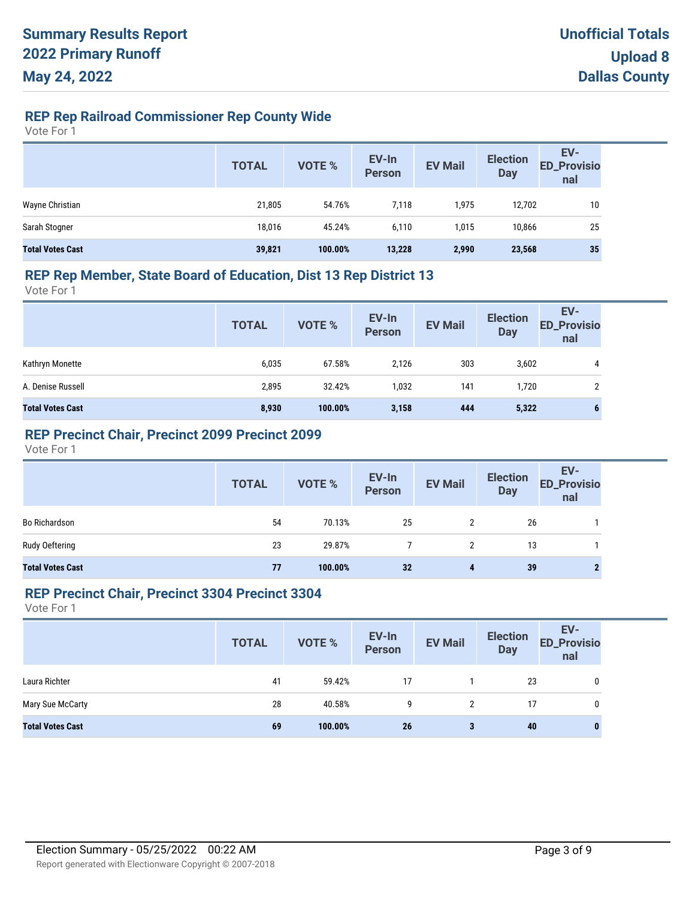## **REP Rep Railroad Commissioner Rep County Wide**

Vote For 1

|                         | <b>TOTAL</b> | VOTE %  | EV-In<br>Person | <b>EV Mail</b> | <b>Election</b><br><b>Day</b> | EV-<br>ED_Provisio<br>nal |
|-------------------------|--------------|---------|-----------------|----------------|-------------------------------|---------------------------|
| Wayne Christian         | 21,805       | 54.76%  | 7,118           | 1,975          | 12,702                        | 10                        |
| Sarah Stogner           | 18,016       | 45.24%  | 6,110           | 1,015          | 10,866                        | 25                        |
| <b>Total Votes Cast</b> | 39,821       | 100.00% | 13,228          | 2,990          | 23,568                        | 35                        |

#### **REP Rep Member, State Board of Education, Dist 13 Rep District 13**

Vote For 1

|                         | <b>TOTAL</b> | <b>VOTE %</b> | EV-In<br>Person | <b>EV Mail</b> | <b>Election</b><br><b>Day</b> | EV-<br><b>ED_Provisio</b><br>nal |
|-------------------------|--------------|---------------|-----------------|----------------|-------------------------------|----------------------------------|
| Kathryn Monette         | 6,035        | 67.58%        | 2,126           | 303            | 3,602                         | 4                                |
| A. Denise Russell       | 2,895        | 32.42%        | 1,032           | 141            | 1,720                         |                                  |
| <b>Total Votes Cast</b> | 8,930        | 100.00%       | 3,158           | 444            | 5,322                         | b                                |

#### **REP Precinct Chair, Precinct 2099 Precinct 2099**

Vote For 1

|                         | <b>TOTAL</b> | VOTE %  | EV-In<br>Person | <b>EV Mail</b>       | <b>Election</b><br>Day | EV-<br>ED_Provisio<br>nal |
|-------------------------|--------------|---------|-----------------|----------------------|------------------------|---------------------------|
| <b>Bo Richardson</b>    | 54           | 70.13%  | 25              | $\mathbf{2}^{\circ}$ | 26                     |                           |
| Rudy Oeftering          | 23           | 29.87%  |                 |                      | 13                     |                           |
| <b>Total Votes Cast</b> | 77           | 100.00% | 32              | 4                    | 39                     |                           |

#### **REP Precinct Chair, Precinct 3304 Precinct 3304**

|                         | <b>TOTAL</b> | <b>VOTE %</b> | EV-In<br>Person | <b>EV Mail</b> | <b>Election</b><br>Day | EV-<br><b>ED_Provisio</b><br>nal |
|-------------------------|--------------|---------------|-----------------|----------------|------------------------|----------------------------------|
| Laura Richter           | 41           | 59.42%        | 17              |                | 23                     | 0                                |
| Mary Sue McCarty        | 28           | 40.58%        | 9               | 2              | 17                     | 0                                |
| <b>Total Votes Cast</b> | 69           | 100.00%       | 26              | 3              | 40                     | o                                |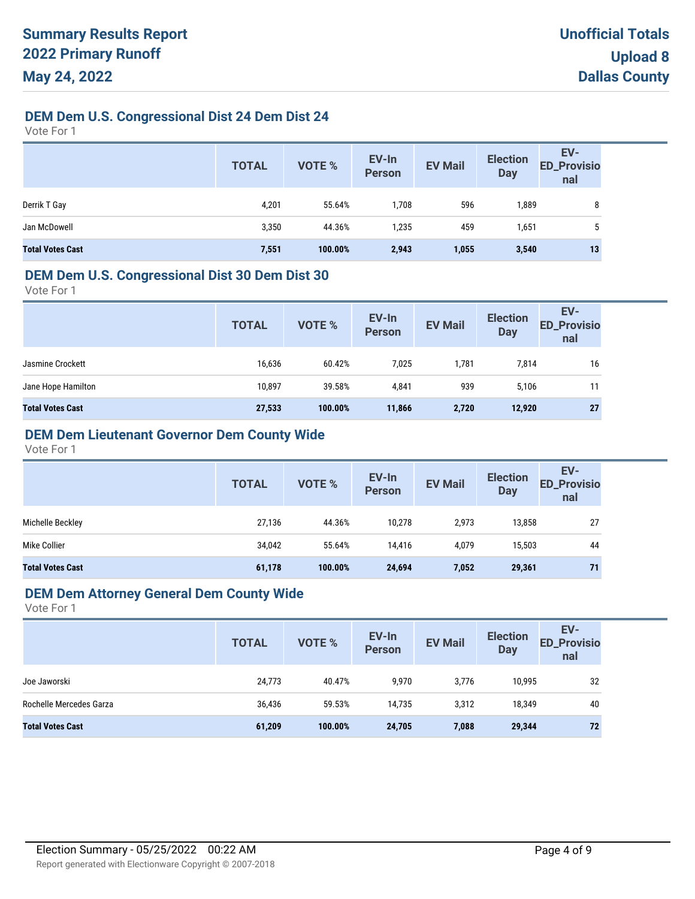## **DEM Dem U.S. Congressional Dist 24 Dem Dist 24**

Vote For 1

|                         | <b>TOTAL</b> | <b>VOTE %</b> | EV-In<br>Person | <b>EV Mail</b> | <b>Election</b><br><b>Day</b> | EV-<br><b>ED_Provisio</b><br>nal |
|-------------------------|--------------|---------------|-----------------|----------------|-------------------------------|----------------------------------|
| Derrik T Gay            | 4,201        | 55.64%        | 1,708           | 596            | 1,889                         | 8                                |
| Jan McDowell            | 3,350        | 44.36%        | 1,235           | 459            | 1,651                         | $\mathbf b$                      |
| <b>Total Votes Cast</b> | 7,551        | 100.00%       | 2,943           | 1,055          | 3,540                         | 13                               |

#### **DEM Dem U.S. Congressional Dist 30 Dem Dist 30**

Vote For 1

| 7,025<br>16,636<br>60.42%<br>1,781<br>7,814<br>16<br>Jasmine Crockett<br>939<br>10,897<br>39.58%<br>11<br>4,841<br>5,106<br>27<br>27,533<br>100.00%<br>2,720<br>12,920<br>11,866 | <b>TOTAL</b> | VOTE % | EV-In<br>Person | <b>EV Mail</b> | <b>Election</b><br><b>Day</b> | EV-<br><b>ED_Provisio</b><br>nal |
|----------------------------------------------------------------------------------------------------------------------------------------------------------------------------------|--------------|--------|-----------------|----------------|-------------------------------|----------------------------------|
| Jane Hope Hamilton<br><b>Total Votes Cast</b>                                                                                                                                    |              |        |                 |                |                               |                                  |
|                                                                                                                                                                                  |              |        |                 |                |                               |                                  |
|                                                                                                                                                                                  |              |        |                 |                |                               |                                  |

## **DEM Dem Lieutenant Governor Dem County Wide**

Vote For 1

|                         | <b>TOTAL</b> | VOTE %  | EV-In<br><b>Person</b> | <b>EV Mail</b> | <b>Election</b><br><b>Day</b> | EV-<br><b>ED_Provisio</b><br>nal |
|-------------------------|--------------|---------|------------------------|----------------|-------------------------------|----------------------------------|
| Michelle Beckley        | 27,136       | 44.36%  | 10,278                 | 2,973          | 13,858                        | 27                               |
| Mike Collier            | 34,042       | 55.64%  | 14.416                 | 4,079          | 15,503                        | 44                               |
| <b>Total Votes Cast</b> | 61,178       | 100.00% | 24,694                 | 7,052          | 29,361                        | 71                               |

## **DEM Dem Attorney General Dem County Wide**

|                         | <b>TOTAL</b> | <b>VOTE %</b> | EV-In<br>Person | <b>EV Mail</b> | <b>Election</b><br><b>Day</b> | EV-<br><b>ED_Provisio</b><br>nal |
|-------------------------|--------------|---------------|-----------------|----------------|-------------------------------|----------------------------------|
| Joe Jaworski            | 24,773       | 40.47%        | 9,970           | 3,776          | 10,995                        | 32                               |
| Rochelle Mercedes Garza | 36,436       | 59.53%        | 14,735          | 3,312          | 18,349                        | 40                               |
| <b>Total Votes Cast</b> | 61,209       | 100.00%       | 24,705          | 7,088          | 29,344                        | 72                               |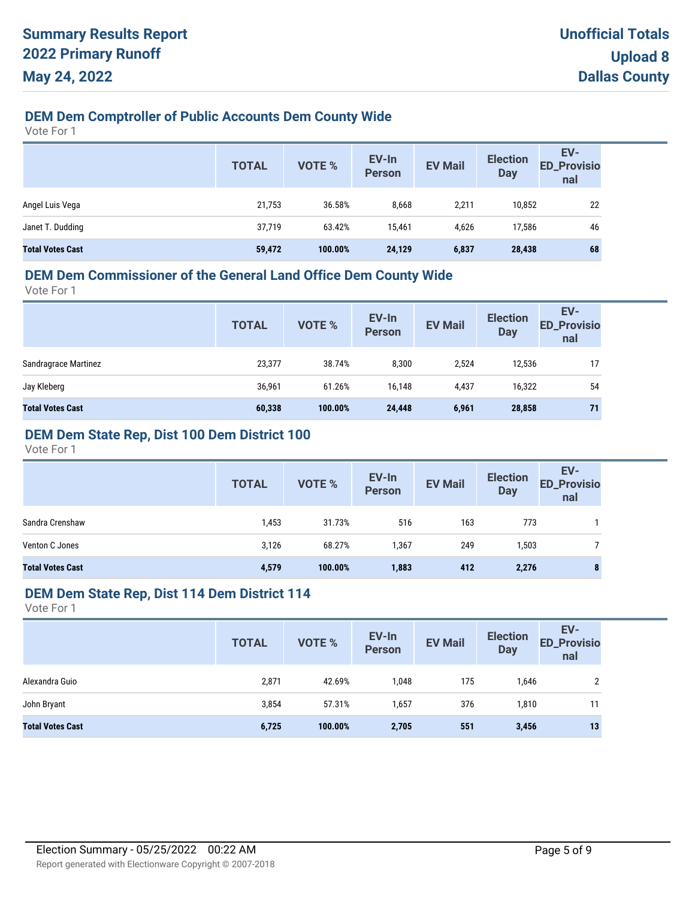## **DEM Dem Comptroller of Public Accounts Dem County Wide**

Vote For 1

|                         | <b>TOTAL</b> | VOTE %  | EV-In<br>Person | <b>EV Mail</b> | <b>Election</b><br><b>Day</b> | EV-<br>ED_Provisio<br>nal |
|-------------------------|--------------|---------|-----------------|----------------|-------------------------------|---------------------------|
| Angel Luis Vega         | 21,753       | 36.58%  | 8,668           | 2,211          | 10,852                        | 22                        |
| Janet T. Dudding        | 37,719       | 63.42%  | 15.461          | 4.626          | 17.586                        | 46                        |
| <b>Total Votes Cast</b> | 59,472       | 100.00% | 24,129          | 6,837          | 28,438                        | 68                        |

### **DEM Dem Commissioner of the General Land Office Dem County Wide**

Vote For 1

| <b>TOTAL</b> | VOTE %  | <b>Person</b> | <b>EV Mail</b> | <b>Day</b> | EV-<br><b>ED_Provisio</b><br>nal |
|--------------|---------|---------------|----------------|------------|----------------------------------|
| 23,377       | 38.74%  | 8,300         | 2,524          | 12,536     | 17                               |
| 36,961       | 61.26%  | 16,148        | 4,437          | 16,322     | 54                               |
| 60,338       | 100.00% | 24,448        | 6,961          | 28,858     | 71                               |
|              |         |               |                | EV-In      | <b>Election</b>                  |

### **DEM Dem State Rep, Dist 100 Dem District 100**

Vote For 1

|                         | <b>TOTAL</b> | <b>VOTE %</b> | EV-In<br><b>Person</b> | <b>EV Mail</b> | <b>Election</b><br><b>Day</b> | EV-<br><b>ED_Provisio</b><br>nal |
|-------------------------|--------------|---------------|------------------------|----------------|-------------------------------|----------------------------------|
| Sandra Crenshaw         | 1,453        | 31.73%        | 516                    | 163            | 773                           |                                  |
| Venton C Jones          | 3,126        | 68.27%        | 1,367                  | 249            | 1,503                         |                                  |
| <b>Total Votes Cast</b> | 4,579        | 100.00%       | 1,883                  | 412            | 2,276                         | 8                                |

## **DEM Dem State Rep, Dist 114 Dem District 114**

|                         | <b>TOTAL</b> | VOTE %  | EV-In<br>Person | <b>EV Mail</b> | <b>Election</b><br><b>Day</b> | EV-<br><b>ED_Provisio</b><br>nal |
|-------------------------|--------------|---------|-----------------|----------------|-------------------------------|----------------------------------|
| Alexandra Guio          | 2,871        | 42.69%  | 1,048           | 175            | 1,646                         |                                  |
| John Bryant             | 3,854        | 57.31%  | 1,657           | 376            | 1,810                         | 11                               |
| <b>Total Votes Cast</b> | 6,725        | 100.00% | 2,705           | 551            | 3,456                         | 13                               |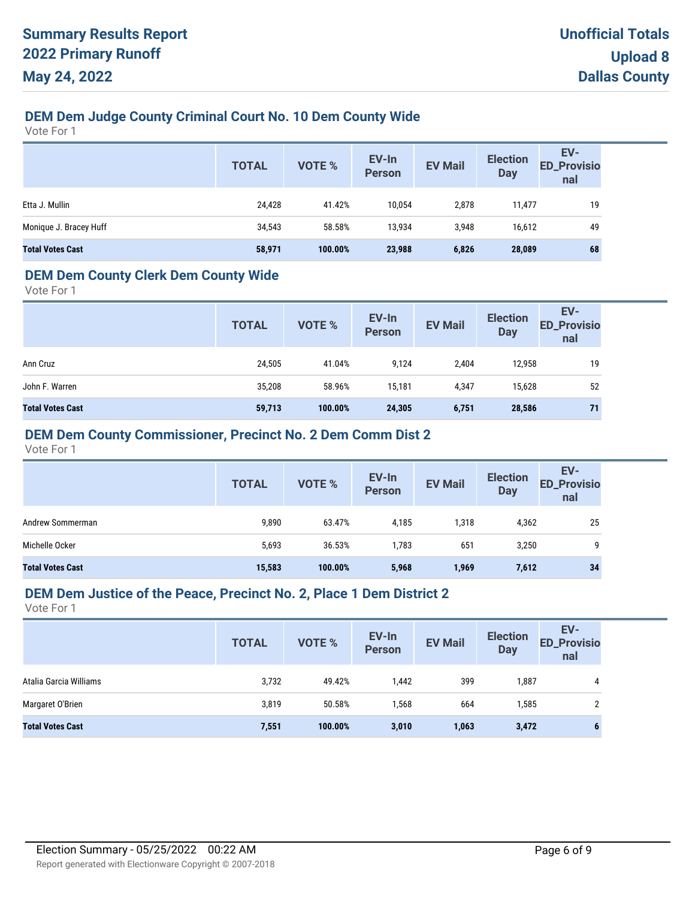## **DEM Dem Judge County Criminal Court No. 10 Dem County Wide**

Vote For 1

|                         | <b>TOTAL</b> | VOTE %  | EV-In<br>Person | <b>EV Mail</b> | <b>Election</b><br><b>Day</b> | EV-<br><b>ED_Provisio</b><br>nal |
|-------------------------|--------------|---------|-----------------|----------------|-------------------------------|----------------------------------|
| Etta J. Mullin          | 24,428       | 41.42%  | 10,054          | 2,878          | 11,477                        | 19                               |
| Monique J. Bracey Huff  | 34,543       | 58.58%  | 13,934          | 3,948          | 16,612                        | 49                               |
| <b>Total Votes Cast</b> | 58,971       | 100.00% | 23,988          | 6,826          | 28,089                        | 68                               |

#### **DEM Dem County Clerk Dem County Wide**

Vote For 1

|                         | <b>TOTAL</b> | <b>VOTE %</b> | EV-In<br><b>Person</b> | <b>EV Mail</b> | <b>Election</b><br><b>Day</b> | EV-<br><b>ED_Provisio</b><br>nal |
|-------------------------|--------------|---------------|------------------------|----------------|-------------------------------|----------------------------------|
| Ann Cruz                | 24,505       | 41.04%        | 9,124                  | 2,404          | 12,958                        | 19                               |
| John F. Warren          | 35,208       | 58.96%        | 15.181                 | 4,347          | 15,628                        | 52                               |
| <b>Total Votes Cast</b> | 59,713       | 100.00%       | 24,305                 | 6,751          | 28,586                        | 71                               |

#### **DEM Dem County Commissioner, Precinct No. 2 Dem Comm Dist 2**

Vote For 1

|                         | <b>TOTAL</b> | <b>VOTE %</b> | EV-In<br><b>Person</b> | <b>EV Mail</b> | <b>Election</b><br><b>Day</b> | EV-<br><b>ED_Provisio</b><br>nal |
|-------------------------|--------------|---------------|------------------------|----------------|-------------------------------|----------------------------------|
| Andrew Sommerman        | 9,890        | 63.47%        | 4,185                  | 1,318          | 4,362                         | 25                               |
| Michelle Ocker          | 5,693        | 36.53%        | 1,783                  | 651            | 3,250                         | 9                                |
| <b>Total Votes Cast</b> | 15,583       | 100.00%       | 5,968                  | 1,969          | 7,612                         | 34                               |

#### **DEM Dem Justice of the Peace, Precinct No. 2, Place 1 Dem District 2**

|                         | <b>TOTAL</b> | <b>VOTE %</b> | EV-In<br><b>Person</b> | <b>EV Mail</b> | <b>Election</b><br><b>Day</b> | EV-<br><b>ED_Provisio</b><br>nal |
|-------------------------|--------------|---------------|------------------------|----------------|-------------------------------|----------------------------------|
| Atalia Garcia Williams  | 3,732        | 49.42%        | 1,442                  | 399            | 1,887                         | 4                                |
| Margaret O'Brien        | 3,819        | 50.58%        | 1,568                  | 664            | 1,585                         |                                  |
| <b>Total Votes Cast</b> | 7,551        | 100.00%       | 3,010                  | 1,063          | 3,472                         |                                  |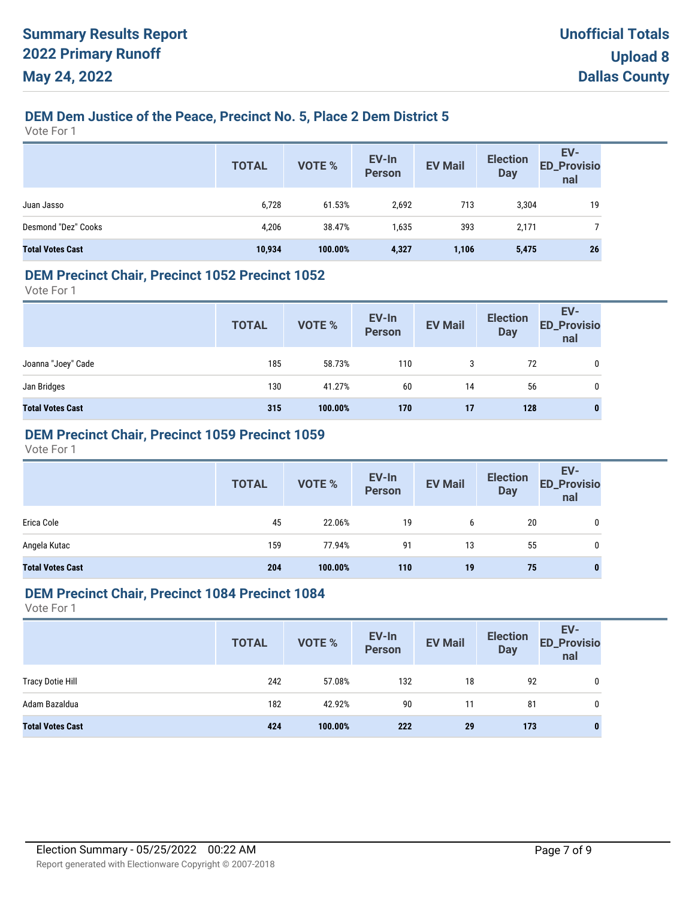## **DEM Dem Justice of the Peace, Precinct No. 5, Place 2 Dem District 5**

Vote For 1

|                         | <b>TOTAL</b> | <b>VOTE %</b> | EV-In<br>Person | <b>EV Mail</b> | <b>Election</b><br><b>Day</b> | EV-<br><b>ED_Provisio</b><br>nal |
|-------------------------|--------------|---------------|-----------------|----------------|-------------------------------|----------------------------------|
| Juan Jasso              | 6,728        | 61.53%        | 2,692           | 713            | 3,304                         | 19                               |
| Desmond "Dez" Cooks     | 4,206        | 38.47%        | 1,635           | 393            | 2,171                         |                                  |
| <b>Total Votes Cast</b> | 10,934       | 100.00%       | 4,327           | 1,106          | 5,475                         | 26                               |

#### **DEM Precinct Chair, Precinct 1052 Precinct 1052**

Vote For 1

|                         | <b>TOTAL</b> | VOTE %  | EV-In<br>Person | <b>EV Mail</b> | <b>Election</b><br><b>Day</b> | EV-<br>ED_Provisio<br>nal |
|-------------------------|--------------|---------|-----------------|----------------|-------------------------------|---------------------------|
| Joanna "Joey" Cade      | 185          | 58.73%  | 110             | 3              | 72                            | 0                         |
| Jan Bridges             | 130          | 41.27%  | 60              | 14             | 56                            | 0                         |
| <b>Total Votes Cast</b> | 315          | 100.00% | 170             | 17             | 128                           | $\bf{0}$                  |

#### **DEM Precinct Chair, Precinct 1059 Precinct 1059**

Vote For 1

|                         | <b>TOTAL</b> | VOTE %  | EV-In<br>Person | <b>EV Mail</b> | <b>Election</b><br><b>Day</b> | EV-<br>ED_Provisio<br>nal |
|-------------------------|--------------|---------|-----------------|----------------|-------------------------------|---------------------------|
| Erica Cole              | 45           | 22.06%  | 19              | b              | 20                            | 0                         |
| Angela Kutac            | 159          | 77.94%  | 91              | 13             | 55                            | 0                         |
| <b>Total Votes Cast</b> | 204          | 100.00% | 110             | 19             | 75                            | 0                         |

#### **DEM Precinct Chair, Precinct 1084 Precinct 1084**

|                         | <b>TOTAL</b> | <b>VOTE %</b> | EV-In<br>Person | <b>EV Mail</b> | <b>Election</b><br>Day | EV-<br><b>ED_Provisio</b><br>nal |
|-------------------------|--------------|---------------|-----------------|----------------|------------------------|----------------------------------|
| <b>Tracy Dotie Hill</b> | 242          | 57.08%        | 132             | 18             | 92                     | 0                                |
| Adam Bazaldua           | 182          | 42.92%        | 90              | 11             | 81                     | 0                                |
| <b>Total Votes Cast</b> | 424          | 100.00%       | 222             | 29             | 173                    | 0                                |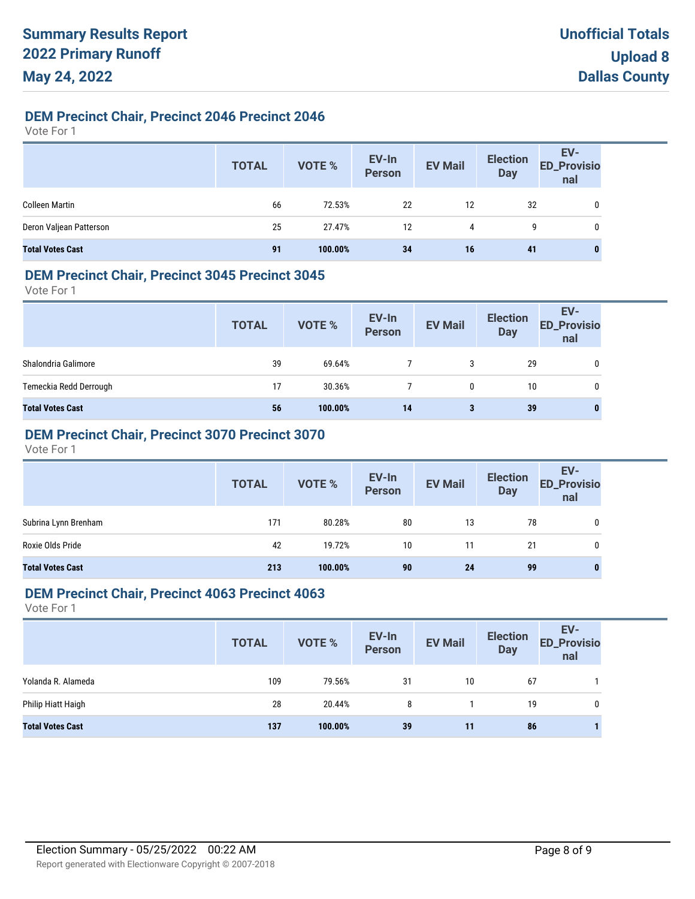#### **DEM Precinct Chair, Precinct 2046 Precinct 2046**

Vote For 1

|                         | <b>TOTAL</b> | VOTE %  | EV-In<br>Person | <b>EV Mail</b> | <b>Election</b><br><b>Day</b> | EV-<br>ED_Provisio<br>nal |
|-------------------------|--------------|---------|-----------------|----------------|-------------------------------|---------------------------|
| <b>Colleen Martin</b>   | 66           | 72.53%  | 22              | 12             | 32                            | 0                         |
| Deron Valjean Patterson | 25           | 27.47%  | 12              | 4              | 9                             | 0                         |
| <b>Total Votes Cast</b> | 91           | 100.00% | 34              | 16             | 41                            | $\bf{0}$                  |

#### **DEM Precinct Chair, Precinct 3045 Precinct 3045**

Vote For 1

|                         | <b>TOTAL</b> | VOTE %  | EV-In<br>Person | <b>EV Mail</b> | <b>Election</b><br><b>Day</b> | EV-<br><b>ED_Provisio</b><br>nal |
|-------------------------|--------------|---------|-----------------|----------------|-------------------------------|----------------------------------|
| Shalondria Galimore     | 39           | 69.64%  |                 | 3              | 29                            | 0                                |
| Temeckia Redd Derrough  | 17           | 30.36%  |                 | 0              | 10                            | 0                                |
| <b>Total Votes Cast</b> | 56           | 100.00% | 14              | 3              | 39                            | $\bf{0}$                         |

### **DEM Precinct Chair, Precinct 3070 Precinct 3070**

Vote For 1

|                         | <b>TOTAL</b> | VOTE %  | EV-In<br>Person | <b>EV Mail</b> | <b>Election</b><br><b>Day</b> | EV-<br>ED_Provisio<br>nal |
|-------------------------|--------------|---------|-----------------|----------------|-------------------------------|---------------------------|
| Subrina Lynn Brenham    | 171          | 80.28%  | 80              | 13             | 78                            |                           |
| Roxie Olds Pride        | 42           | 19.72%  | 10              | 11             | 21                            | 0                         |
| <b>Total Votes Cast</b> | 213          | 100.00% | 90              | 24             | 99                            |                           |

#### **DEM Precinct Chair, Precinct 4063 Precinct 4063**

|                         | <b>TOTAL</b> | <b>VOTE %</b> | EV-In<br>Person | <b>EV Mail</b> | <b>Election</b><br><b>Day</b> | EV-<br><b>ED_Provisio</b><br>nal |
|-------------------------|--------------|---------------|-----------------|----------------|-------------------------------|----------------------------------|
| Yolanda R. Alameda      | 109          | 79.56%        | 31              | 10             | 67                            |                                  |
| Philip Hiatt Haigh      | 28           | 20.44%        | 8               |                | 19                            | 0                                |
| <b>Total Votes Cast</b> | 137          | 100.00%       | 39              | 11             | 86                            |                                  |